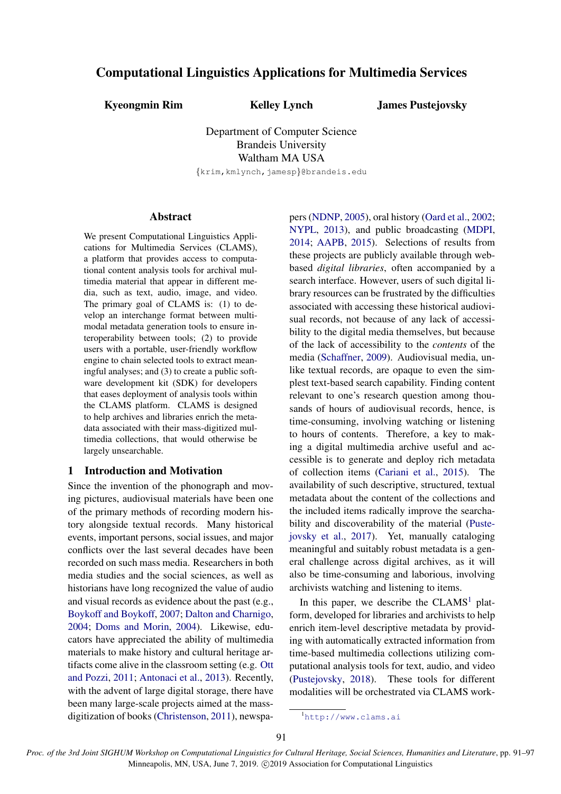# Computational Linguistics Applications for Multimedia Services

Kyeongmin Rim Kelley Lynch

James Pustejovsky

Department of Computer Science Brandeis University Waltham MA USA

{krim,kmlynch,jamesp}@brandeis.edu

# Abstract

We present Computational Linguistics Applications for Multimedia Services (CLAMS), a platform that provides access to computational content analysis tools for archival multimedia material that appear in different media, such as text, audio, image, and video. The primary goal of CLAMS is: (1) to develop an interchange format between multimodal metadata generation tools to ensure interoperability between tools; (2) to provide users with a portable, user-friendly workflow engine to chain selected tools to extract meaningful analyses; and (3) to create a public software development kit (SDK) for developers that eases deployment of analysis tools within the CLAMS platform. CLAMS is designed to help archives and libraries enrich the metadata associated with their mass-digitized multimedia collections, that would otherwise be largely unsearchable.

## 1 Introduction and Motivation

Since the invention of the phonograph and moving pictures, audiovisual materials have been one of the primary methods of recording modern history alongside textual records. Many historical events, important persons, social issues, and major conflicts over the last several decades have been recorded on such mass media. Researchers in both media studies and the social sciences, as well as historians have long recognized the value of audio and visual records as evidence about the past (e.g., [Boykoff and Boykoff,](#page-4-0) [2007;](#page-4-0) [Dalton and Charnigo,](#page-5-0) [2004;](#page-5-0) [Doms and Morin,](#page-5-1) [2004\)](#page-5-1). Likewise, educators have appreciated the ability of multimedia materials to make history and cultural heritage artifacts come alive in the classroom setting (e.g. [Ott](#page-5-2) [and Pozzi,](#page-5-2) [2011;](#page-5-2) [Antonaci et al.,](#page-4-1) [2013\)](#page-4-1). Recently, with the advent of large digital storage, there have been many large-scale projects aimed at the massdigitization of books [\(Christenson,](#page-4-2) [2011\)](#page-4-2), newspa-

pers [\(NDNP,](#page-5-3) [2005\)](#page-5-3), oral history [\(Oard et al.,](#page-5-4) [2002;](#page-5-4) [NYPL,](#page-5-5) [2013\)](#page-5-5), and public broadcasting [\(MDPI,](#page-5-6) [2014;](#page-5-6) [AAPB,](#page-4-3) [2015\)](#page-4-3). Selections of results from these projects are publicly available through webbased *digital libraries*, often accompanied by a search interface. However, users of such digital library resources can be frustrated by the difficulties associated with accessing these historical audiovisual records, not because of any lack of accessibility to the digital media themselves, but because of the lack of accessibility to the *contents* of the media [\(Schaffner,](#page-6-0) [2009\)](#page-6-0). Audiovisual media, unlike textual records, are opaque to even the simplest text-based search capability. Finding content relevant to one's research question among thousands of hours of audiovisual records, hence, is time-consuming, involving watching or listening to hours of contents. Therefore, a key to making a digital multimedia archive useful and accessible is to generate and deploy rich metadata of collection items [\(Cariani et al.,](#page-4-4) [2015\)](#page-4-4). The availability of such descriptive, structured, textual metadata about the content of the collections and the included items radically improve the searchability and discoverability of the material [\(Puste](#page-5-7)[jovsky et al.,](#page-5-7) [2017\)](#page-5-7). Yet, manually cataloging meaningful and suitably robust metadata is a general challenge across digital archives, as it will also be time-consuming and laborious, involving archivists watching and listening to items.

In this paper, we describe the  $CLAMS<sup>1</sup>$  $CLAMS<sup>1</sup>$  $CLAMS<sup>1</sup>$  platform, developed for libraries and archivists to help enrich item-level descriptive metadata by providing with automatically extracted information from time-based multimedia collections utilizing computational analysis tools for text, audio, and video [\(Pustejovsky,](#page-5-8) [2018\)](#page-5-8). These tools for different modalities will be orchestrated via CLAMS work-

<span id="page-0-0"></span><sup>1</sup><http://www.clams.ai>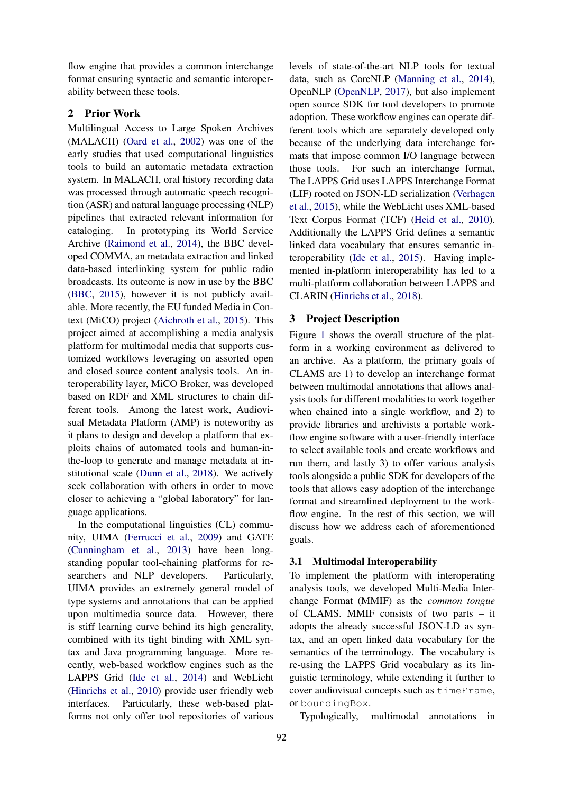flow engine that provides a common interchange format ensuring syntactic and semantic interoperability between these tools.

# 2 Prior Work

Multilingual Access to Large Spoken Archives (MALACH) [\(Oard et al.,](#page-5-4) [2002\)](#page-5-4) was one of the early studies that used computational linguistics tools to build an automatic metadata extraction system. In MALACH, oral history recording data was processed through automatic speech recognition (ASR) and natural language processing (NLP) pipelines that extracted relevant information for cataloging. In prototyping its World Service Archive [\(Raimond et al.,](#page-5-9) [2014\)](#page-5-9), the BBC developed COMMA, an metadata extraction and linked data-based interlinking system for public radio broadcasts. Its outcome is now in use by the BBC [\(BBC,](#page-4-5) [2015\)](#page-4-5), however it is not publicly available. More recently, the EU funded Media in Context (MiCO) project [\(Aichroth et al.,](#page-4-6) [2015\)](#page-4-6). This project aimed at accomplishing a media analysis platform for multimodal media that supports customized workflows leveraging on assorted open and closed source content analysis tools. An interoperability layer, MiCO Broker, was developed based on RDF and XML structures to chain different tools. Among the latest work, Audiovisual Metadata Platform (AMP) is noteworthy as it plans to design and develop a platform that exploits chains of automated tools and human-inthe-loop to generate and manage metadata at institutional scale [\(Dunn et al.,](#page-5-10) [2018\)](#page-5-10). We actively seek collaboration with others in order to move closer to achieving a "global laboratory" for language applications.

In the computational linguistics (CL) community, UIMA [\(Ferrucci et al.,](#page-5-11) [2009\)](#page-5-11) and GATE [\(Cunningham et al.,](#page-4-7) [2013\)](#page-4-7) have been longstanding popular tool-chaining platforms for researchers and NLP developers. Particularly, UIMA provides an extremely general model of type systems and annotations that can be applied upon multimedia source data. However, there is stiff learning curve behind its high generality, combined with its tight binding with XML syntax and Java programming language. More recently, web-based workflow engines such as the LAPPS Grid [\(Ide et al.,](#page-5-12) [2014\)](#page-5-12) and WebLicht [\(Hinrichs et al.,](#page-5-13) [2010\)](#page-5-13) provide user friendly web interfaces. Particularly, these web-based platforms not only offer tool repositories of various

levels of state-of-the-art NLP tools for textual data, such as CoreNLP [\(Manning et al.,](#page-5-14) [2014\)](#page-5-14), OpenNLP [\(OpenNLP,](#page-5-15) [2017\)](#page-5-15), but also implement open source SDK for tool developers to promote adoption. These workflow engines can operate different tools which are separately developed only because of the underlying data interchange formats that impose common I/O language between those tools. For such an interchange format, The LAPPS Grid uses LAPPS Interchange Format (LIF) rooted on JSON-LD serialization [\(Verhagen](#page-6-1) [et al.,](#page-6-1) [2015\)](#page-6-1), while the WebLicht uses XML-based Text Corpus Format (TCF) [\(Heid et al.,](#page-5-16) [2010\)](#page-5-16). Additionally the LAPPS Grid defines a semantic linked data vocabulary that ensures semantic interoperability [\(Ide et al.,](#page-5-17) [2015\)](#page-5-17). Having implemented in-platform interoperability has led to a multi-platform collaboration between LAPPS and CLARIN [\(Hinrichs et al.,](#page-5-18) [2018\)](#page-5-18).

# 3 Project Description

Figure [1](#page-2-0) shows the overall structure of the platform in a working environment as delivered to an archive. As a platform, the primary goals of CLAMS are 1) to develop an interchange format between multimodal annotations that allows analysis tools for different modalities to work together when chained into a single workflow, and 2) to provide libraries and archivists a portable workflow engine software with a user-friendly interface to select available tools and create workflows and run them, and lastly 3) to offer various analysis tools alongside a public SDK for developers of the tools that allows easy adoption of the interchange format and streamlined deployment to the workflow engine. In the rest of this section, we will discuss how we address each of aforementioned goals.

# 3.1 Multimodal Interoperability

To implement the platform with interoperating analysis tools, we developed Multi-Media Interchange Format (MMIF) as the *common tongue* of CLAMS. MMIF consists of two parts – it adopts the already successful JSON-LD as syntax, and an open linked data vocabulary for the semantics of the terminology. The vocabulary is re-using the LAPPS Grid vocabulary as its linguistic terminology, while extending it further to cover audiovisual concepts such as timeFrame, or boundingBox.

Typologically, multimodal annotations in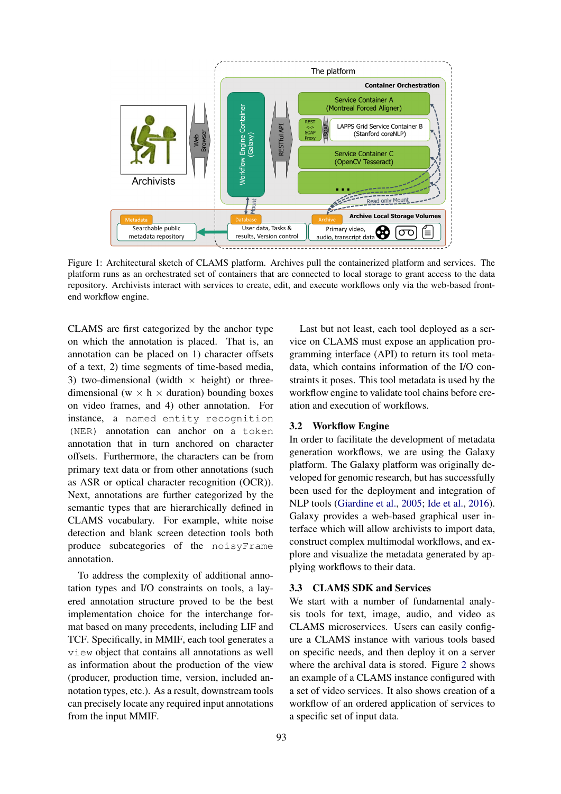<span id="page-2-0"></span>

Figure 1: Architectural sketch of CLAMS platform. Archives pull the containerized platform and services. The platform runs as an orchestrated set of containers that are connected to local storage to grant access to the data repository. Archivists interact with services to create, edit, and execute workflows only via the web-based frontend workflow engine.

CLAMS are first categorized by the anchor type on which the annotation is placed. That is, an annotation can be placed on 1) character offsets of a text, 2) time segments of time-based media, 3) two-dimensional (width  $\times$  height) or threedimensional (w  $\times$  h  $\times$  duration) bounding boxes on video frames, and 4) other annotation. For instance, a named entity recognition (NER) annotation can anchor on a token annotation that in turn anchored on character offsets. Furthermore, the characters can be from primary text data or from other annotations (such as ASR or optical character recognition (OCR)). Next, annotations are further categorized by the semantic types that are hierarchically defined in CLAMS vocabulary. For example, white noise detection and blank screen detection tools both produce subcategories of the noisyFrame annotation.

To address the complexity of additional annotation types and I/O constraints on tools, a layered annotation structure proved to be the best implementation choice for the interchange format based on many precedents, including LIF and TCF. Specifically, in MMIF, each tool generates a view object that contains all annotations as well as information about the production of the view (producer, production time, version, included annotation types, etc.). As a result, downstream tools can precisely locate any required input annotations from the input MMIF.

Last but not least, each tool deployed as a service on CLAMS must expose an application programming interface (API) to return its tool metadata, which contains information of the I/O constraints it poses. This tool metadata is used by the workflow engine to validate tool chains before creation and execution of workflows.

#### 3.2 Workflow Engine

In order to facilitate the development of metadata generation workflows, we are using the Galaxy platform. The Galaxy platform was originally developed for genomic research, but has successfully been used for the deployment and integration of NLP tools [\(Giardine et al.,](#page-5-19) [2005;](#page-5-19) [Ide et al.,](#page-5-20) [2016\)](#page-5-20). Galaxy provides a web-based graphical user interface which will allow archivists to import data, construct complex multimodal workflows, and explore and visualize the metadata generated by applying workflows to their data.

## 3.3 CLAMS SDK and Services

We start with a number of fundamental analysis tools for text, image, audio, and video as CLAMS microservices. Users can easily configure a CLAMS instance with various tools based on specific needs, and then deploy it on a server where the archival data is stored. Figure [2](#page-3-0) shows an example of a CLAMS instance configured with a set of video services. It also shows creation of a workflow of an ordered application of services to a specific set of input data.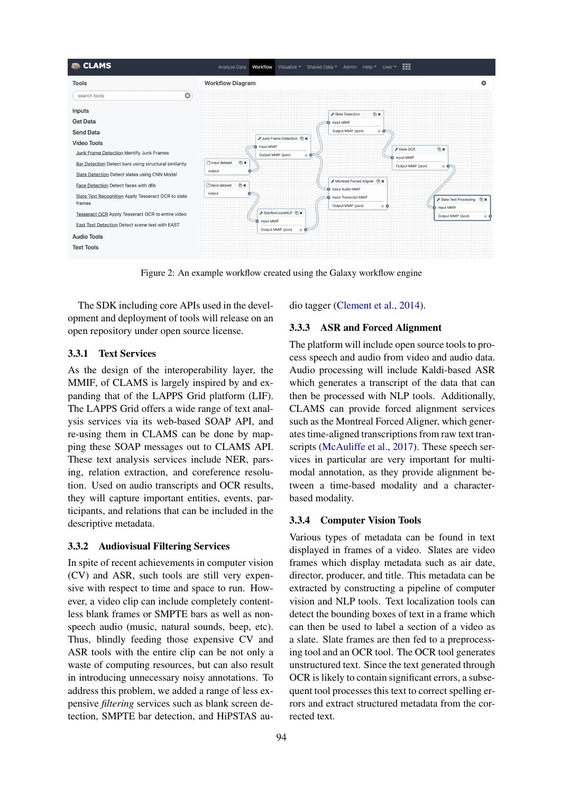<span id="page-3-0"></span>

Figure 2: An example workflow created using the Galaxy workflow engine

The SDK including core APIs used in the development and deployment of tools will release on an open repository under open source license.

#### 3.3.1 Text Services

As the design of the interoperability layer, the MMIF, of CLAMS is largely inspired by and expanding that of the LAPPS Grid platform (LIF). The LAPPS Grid offers a wide range of text analysis services via its web-based SOAP API, and re-using them in CLAMS can be done by mapping these SOAP messages out to CLAMS API. These text analysis services include NER, parsing, relation extraction, and coreference resolution. Used on audio transcripts and OCR results, they will capture important entities, events, participants, and relations that can be included in the descriptive metadata.

### 3.3.2 Audiovisual Filtering Services

In spite of recent achievements in computer vision (CV) and ASR, such tools are still very expensive with respect to time and space to run. However, a video clip can include completely contentless blank frames or SMPTE bars as well as nonspeech audio (music, natural sounds, beep, etc). Thus, blindly feeding those expensive CV and ASR tools with the entire clip can be not only a waste of computing resources, but can also result in introducing unnecessary noisy annotations. To address this problem, we added a range of less expensive *filtering* services such as blank screen detection, SMPTE bar detection, and HiPSTAS audio tagger [\(Clement et al.,](#page-4-8) [2014\)](#page-4-8).

# 3.3.3 ASR and Forced Alignment

The platform will include open source tools to process speech and audio from video and audio data. Audio processing will include Kaldi-based ASR which generates a transcript of the data that can then be processed with NLP tools. Additionally, CLAMS can provide forced alignment services such as the Montreal Forced Aligner, which generates time-aligned transcriptions from raw text transcripts [\(McAuliffe et al.,](#page-5-21) [2017\)](#page-5-21). These speech services in particular are very important for multimodal annotation, as they provide alignment between a time-based modality and a characterbased modality.

### 3.3.4 Computer Vision Tools

Various types of metadata can be found in text displayed in frames of a video. Slates are video frames which display metadata such as air date, director, producer, and title. This metadata can be extracted by constructing a pipeline of computer vision and NLP tools. Text localization tools can detect the bounding boxes of text in a frame which can then be used to label a section of a video as a slate. Slate frames are then fed to a preprocessing tool and an OCR tool. The OCR tool generates unstructured text. Since the text generated through OCR is likely to contain significant errors, a subsequent tool processes this text to correct spelling errors and extract structured metadata from the corrected text.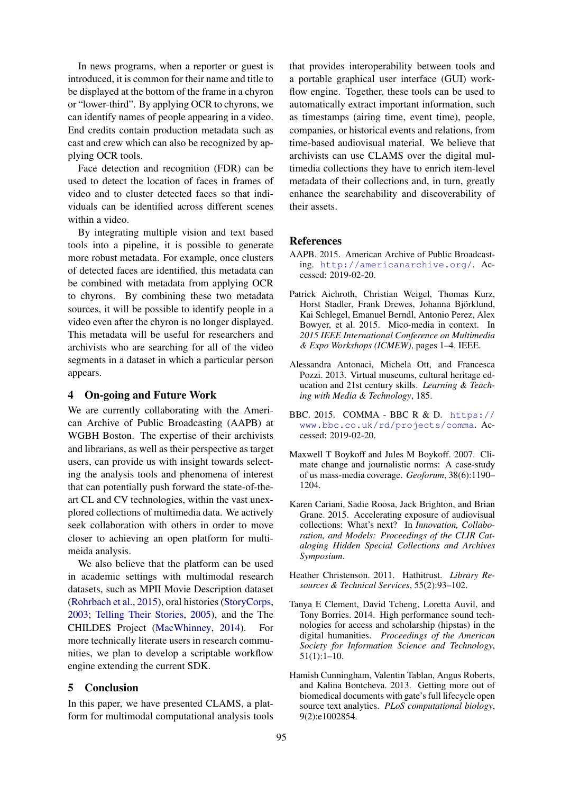In news programs, when a reporter or guest is introduced, it is common for their name and title to be displayed at the bottom of the frame in a chyron or "lower-third". By applying OCR to chyrons, we can identify names of people appearing in a video. End credits contain production metadata such as cast and crew which can also be recognized by applying OCR tools.

Face detection and recognition (FDR) can be used to detect the location of faces in frames of video and to cluster detected faces so that individuals can be identified across different scenes within a video.

By integrating multiple vision and text based tools into a pipeline, it is possible to generate more robust metadata. For example, once clusters of detected faces are identified, this metadata can be combined with metadata from applying OCR to chyrons. By combining these two metadata sources, it will be possible to identify people in a video even after the chyron is no longer displayed. This metadata will be useful for researchers and archivists who are searching for all of the video segments in a dataset in which a particular person appears.

### 4 On-going and Future Work

We are currently collaborating with the American Archive of Public Broadcasting (AAPB) at WGBH Boston. The expertise of their archivists and librarians, as well as their perspective as target users, can provide us with insight towards selecting the analysis tools and phenomena of interest that can potentially push forward the state-of-theart CL and CV technologies, within the vast unexplored collections of multimedia data. We actively seek collaboration with others in order to move closer to achieving an open platform for multimeida analysis.

We also believe that the platform can be used in academic settings with multimodal research datasets, such as MPII Movie Description dataset [\(Rohrbach et al.,](#page-6-2) [2015\)](#page-6-2), oral histories [\(StoryCorps,](#page-6-3) [2003;](#page-6-3) [Telling Their Stories,](#page-6-4) [2005\)](#page-6-4), and the The CHILDES Project [\(MacWhinney,](#page-5-22) [2014\)](#page-5-22). For more technically literate users in research communities, we plan to develop a scriptable workflow engine extending the current SDK.

### 5 Conclusion

In this paper, we have presented CLAMS, a platform for multimodal computational analysis tools that provides interoperability between tools and a portable graphical user interface (GUI) workflow engine. Together, these tools can be used to automatically extract important information, such as timestamps (airing time, event time), people, companies, or historical events and relations, from time-based audiovisual material. We believe that archivists can use CLAMS over the digital multimedia collections they have to enrich item-level metadata of their collections and, in turn, greatly enhance the searchability and discoverability of their assets.

### References

- <span id="page-4-3"></span>AAPB. 2015. American Archive of Public Broadcasting. <http://americanarchive.org/>. Accessed: 2019-02-20.
- <span id="page-4-6"></span>Patrick Aichroth, Christian Weigel, Thomas Kurz, Horst Stadler, Frank Drewes, Johanna Björklund, Kai Schlegel, Emanuel Berndl, Antonio Perez, Alex Bowyer, et al. 2015. Mico-media in context. In *2015 IEEE International Conference on Multimedia & Expo Workshops (ICMEW)*, pages 1–4. IEEE.
- <span id="page-4-1"></span>Alessandra Antonaci, Michela Ott, and Francesca Pozzi. 2013. Virtual museums, cultural heritage education and 21st century skills. *Learning & Teaching with Media & Technology*, 185.
- <span id="page-4-5"></span>BBC. 2015. COMMA - BBC R & D. [https://](https://www.bbc.co.uk/rd/projects/comma) [www.bbc.co.uk/rd/projects/comma](https://www.bbc.co.uk/rd/projects/comma). Accessed: 2019-02-20.
- <span id="page-4-0"></span>Maxwell T Boykoff and Jules M Boykoff. 2007. Climate change and journalistic norms: A case-study of us mass-media coverage. *Geoforum*, 38(6):1190– 1204.
- <span id="page-4-4"></span>Karen Cariani, Sadie Roosa, Jack Brighton, and Brian Grane. 2015. Accelerating exposure of audiovisual collections: What's next? In *Innovation, Collaboration, and Models: Proceedings of the CLIR Cataloging Hidden Special Collections and Archives Symposium*.
- <span id="page-4-2"></span>Heather Christenson. 2011. Hathitrust. *Library Resources & Technical Services*, 55(2):93–102.
- <span id="page-4-8"></span>Tanya E Clement, David Tcheng, Loretta Auvil, and Tony Borries. 2014. High performance sound technologies for access and scholarship (hipstas) in the digital humanities. *Proceedings of the American Society for Information Science and Technology*, 51(1):1–10.
- <span id="page-4-7"></span>Hamish Cunningham, Valentin Tablan, Angus Roberts, and Kalina Bontcheva. 2013. Getting more out of biomedical documents with gate's full lifecycle open source text analytics. *PLoS computational biology*, 9(2):e1002854.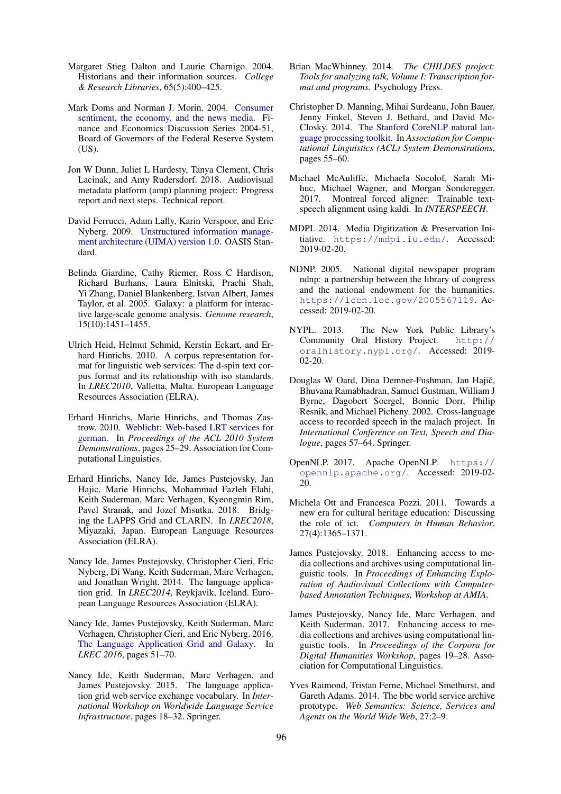- <span id="page-5-0"></span>Margaret Stieg Dalton and Laurie Charnigo. 2004. Historians and their information sources. *College & Research Libraries*, 65(5):400–425.
- <span id="page-5-1"></span>Mark Doms and Norman J. Morin. 2004. [Consumer](https://EconPapers.repec.org/RePEc:fip:fedgfe:2004-51) [sentiment, the economy, and the news media.](https://EconPapers.repec.org/RePEc:fip:fedgfe:2004-51) Finance and Economics Discussion Series 2004-51, Board of Governors of the Federal Reserve System (US).
- <span id="page-5-10"></span>Jon W Dunn, Juliet L Hardesty, Tanya Clement, Chris Lacinak, and Amy Rudersdorf. 2018. Audiovisual metadata platform (amp) planning project: Progress report and next steps. Technical report.
- <span id="page-5-11"></span>David Ferrucci, Adam Lally, Karin Verspoor, and Eric Nyberg. 2009. [Unstructured information manage](https://docs.oasis-open.org/uima/v1.0/uima-v1.0.html)[ment architecture \(UIMA\) version 1.0.](https://docs.oasis-open.org/uima/v1.0/uima-v1.0.html) OASIS Standard.
- <span id="page-5-19"></span>Belinda Giardine, Cathy Riemer, Ross C Hardison, Richard Burhans, Laura Elnitski, Prachi Shah, Yi Zhang, Daniel Blankenberg, Istvan Albert, James Taylor, et al. 2005. Galaxy: a platform for interactive large-scale genome analysis. *Genome research*, 15(10):1451–1455.
- <span id="page-5-16"></span>Ulrich Heid, Helmut Schmid, Kerstin Eckart, and Erhard Hinrichs. 2010. A corpus representation format for linguistic web services: The d-spin text corpus format and its relationship with iso standards. In *LREC2010*, Valletta, Malta. European Language Resources Association (ELRA).
- <span id="page-5-13"></span>Erhard Hinrichs, Marie Hinrichs, and Thomas Zastrow. 2010. [Weblicht: Web-based LRT services for](http://aclweb.org/anthology/P10-4005) [german.](http://aclweb.org/anthology/P10-4005) In *Proceedings of the ACL 2010 System Demonstrations*, pages 25–29. Association for Computational Linguistics.
- <span id="page-5-18"></span>Erhard Hinrichs, Nancy Ide, James Pustejovsky, Jan Hajic, Marie Hinrichs, Mohammad Fazleh Elahi, Keith Suderman, Marc Verhagen, Kyeongmin Rim, Pavel Stranak, and Jozef Misutka. 2018. Bridging the LAPPS Grid and CLARIN. In *LREC2018*, Miyazaki, Japan. European Language Resources Association (ELRA).
- <span id="page-5-12"></span>Nancy Ide, James Pustejovsky, Christopher Cieri, Eric Nyberg, Di Wang, Keith Suderman, Marc Verhagen, and Jonathan Wright. 2014. The language application grid. In *LREC2014*, Reykjavik, Iceland. European Language Resources Association (ELRA).
- <span id="page-5-20"></span>Nancy Ide, James Pustejovsky, Keith Suderman, Marc Verhagen, Christopher Cieri, and Eric Nyberg. 2016. [The Language Application Grid and Galaxy.](https://doi.org/10.1007/978-3-319-31468-6_4) In *LREC 2016*, pages 51–70.
- <span id="page-5-17"></span>Nancy Ide, Keith Suderman, Marc Verhagen, and James Pustejovsky. 2015. The language application grid web service exchange vocabulary. In *International Workshop on Worldwide Language Service Infrastructure*, pages 18–32. Springer.
- <span id="page-5-22"></span>Brian MacWhinney. 2014. *The CHILDES project: Tools for analyzing talk, Volume I: Transcription format and programs*. Psychology Press.
- <span id="page-5-14"></span>Christopher D. Manning, Mihai Surdeanu, John Bauer, Jenny Finkel, Steven J. Bethard, and David Mc-Closky. 2014. [The Stanford CoreNLP natural lan](http://www.aclweb.org/anthology/P/P14/P14-5010)[guage processing toolkit.](http://www.aclweb.org/anthology/P/P14/P14-5010) In *Association for Computational Linguistics (ACL) System Demonstrations*, pages 55–60.
- <span id="page-5-21"></span>Michael McAuliffe, Michaela Socolof, Sarah Mihuc, Michael Wagner, and Morgan Sonderegger. 2017. Montreal forced aligner: Trainable textspeech alignment using kaldi. In *INTERSPEECH*.
- <span id="page-5-6"></span>MDPI. 2014. Media Digitization & Preservation Initiative. <https://mdpi.iu.edu/>. Accessed: 2019-02-20.
- <span id="page-5-3"></span>NDNP. 2005. National digital newspaper program ndnp: a partnership between the library of congress and the national endowment for the humanities. <https://lccn.loc.gov/2005567119>. Accessed: 2019-02-20.
- <span id="page-5-5"></span>NYPL. 2013. The New York Public Library's Community Oral History Project. [http://](http://oralhistory.nypl.org/) [oralhistory.nypl.org/](http://oralhistory.nypl.org/). Accessed: 2019- 02-20.
- <span id="page-5-4"></span>Douglas W Oard, Dina Demner-Fushman, Jan Hajič, Bhuvana Ramabhadran, Samuel Gustman, William J Byrne, Dagobert Soergel, Bonnie Dorr, Philip Resnik, and Michael Picheny. 2002. Cross-language access to recorded speech in the malach project. In *International Conference on Text, Speech and Dialogue*, pages 57–64. Springer.
- <span id="page-5-15"></span>OpenNLP. 2017. Apache OpenNLP. [https://](https://opennlp.apache.org/) [opennlp.apache.org/](https://opennlp.apache.org/). Accessed: 2019-02-  $20<sub>2</sub>$
- <span id="page-5-2"></span>Michela Ott and Francesca Pozzi. 2011. Towards a new era for cultural heritage education: Discussing the role of ict. *Computers in Human Behavior*, 27(4):1365–1371.
- <span id="page-5-8"></span>James Pustejovsky. 2018. Enhancing access to media collections and archives using computational linguistic tools. In *Proceedings of Enhancing Exploration of Audiovisual Collections with Computerbased Annotation Techniques, Workshop at AMIA*.
- <span id="page-5-7"></span>James Pustejovsky, Nancy Ide, Marc Verhagen, and Keith Suderman. 2017. Enhancing access to media collections and archives using computational linguistic tools. In *Proceedings of the Corpora for Digital Humanities Workshop*, pages 19–28. Association for Computational Linguistics.
- <span id="page-5-9"></span>Yves Raimond, Tristan Ferne, Michael Smethurst, and Gareth Adams. 2014. The bbc world service archive prototype. *Web Semantics: Science, Services and Agents on the World Wide Web*, 27:2–9.